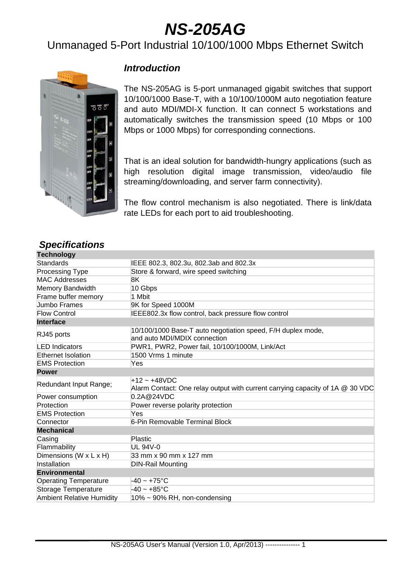# *NS-205AG*

## Unmanaged 5-Port Industrial 10/100/1000 Mbps Ethernet Switch



#### *Introduction*

The NS-205AG is 5-port unmanaged gigabit switches that support 10/100/1000 Base-T, with a 10/100/1000M auto negotiation feature and auto MDI/MDI-X function. It can connect 5 workstations and automatically switches the transmission speed (10 Mbps or 100 Mbps or 1000 Mbps) for corresponding connections.

That is an ideal solution for bandwidth-hungry applications (such as high resolution digital image transmission, video/audio file streaming/downloading, and server farm connectivity).

The flow control mechanism is also negotiated. There is link/data rate LEDs for each port to aid troubleshooting.

| <b>Opcunuations</b>              |                                                                                                 |  |  |
|----------------------------------|-------------------------------------------------------------------------------------------------|--|--|
| <b>Technology</b>                |                                                                                                 |  |  |
| Standards                        | IEEE 802.3, 802.3u, 802.3ab and 802.3x                                                          |  |  |
| <b>Processing Type</b>           | Store & forward, wire speed switching                                                           |  |  |
| <b>MAC Addresses</b>             | 8K                                                                                              |  |  |
| Memory Bandwidth                 | 10 Gbps                                                                                         |  |  |
| Frame buffer memory              | 1 Mbit                                                                                          |  |  |
| <b>Jumbo Frames</b>              | 9K for Speed 1000M                                                                              |  |  |
| <b>Flow Control</b>              | IEEE802.3x flow control, back pressure flow control                                             |  |  |
| <b>Interface</b>                 |                                                                                                 |  |  |
| RJ45 ports                       | 10/100/1000 Base-T auto negotiation speed, F/H duplex mode,<br>and auto MDI/MDIX connection     |  |  |
| <b>LED</b> Indicators            | PWR1, PWR2, Power fail, 10/100/1000M, Link/Act                                                  |  |  |
| <b>Ethernet Isolation</b>        | 1500 Vrms 1 minute                                                                              |  |  |
| <b>EMS Protection</b>            | Yes                                                                                             |  |  |
| <b>Power</b>                     |                                                                                                 |  |  |
| Redundant Input Range;           | $+12 - +48VDC$<br>Alarm Contact: One relay output with current carrying capacity of 1A @ 30 VDC |  |  |
| Power consumption                | 0.2A@24VDC                                                                                      |  |  |
| Protection                       | Power reverse polarity protection                                                               |  |  |
| <b>EMS Protection</b>            | Yes                                                                                             |  |  |
| Connector                        | 6-Pin Removable Terminal Block                                                                  |  |  |
| <b>Mechanical</b>                |                                                                                                 |  |  |
| Casing                           | Plastic                                                                                         |  |  |
| Flammability                     | <b>UL 94V-0</b>                                                                                 |  |  |
| Dimensions (W x L x H)           | 33 mm x 90 mm x 127 mm                                                                          |  |  |
| Installation                     | <b>DIN-Rail Mounting</b>                                                                        |  |  |
| <b>Environmental</b>             |                                                                                                 |  |  |
| <b>Operating Temperature</b>     | -40 ~ +75°C                                                                                     |  |  |
| Storage Temperature              | $-40 - +85$ °C                                                                                  |  |  |
| <b>Ambient Relative Humidity</b> | $10\% \sim 90\%$ RH, non-condensing                                                             |  |  |

#### *Specifications*